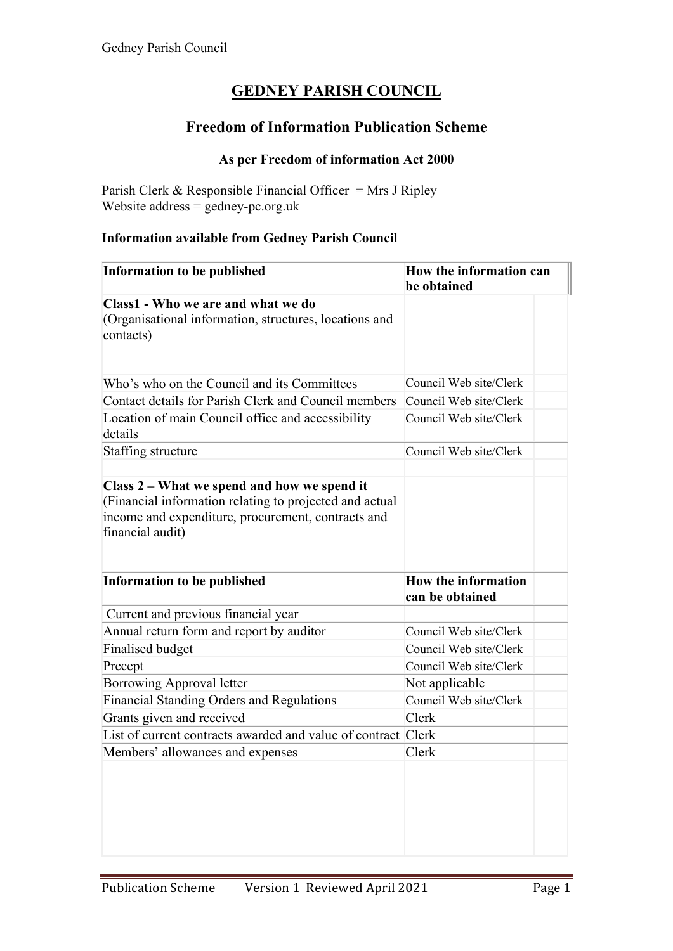# **GEDNEY PARISH COUNCIL**

## **Freedom of Information Publication Scheme**

## **As per Freedom of information Act 2000**

Parish Clerk & Responsible Financial Officer = Mrs J Ripley Website address  $=$  gedney-pc.org.uk

### **Information available from Gedney Parish Council**

| be obtained<br>Council Web site/Clerk<br>Council Web site/Clerk<br>Council Web site/Clerk |                            |
|-------------------------------------------------------------------------------------------|----------------------------|
|                                                                                           |                            |
|                                                                                           |                            |
|                                                                                           |                            |
|                                                                                           |                            |
|                                                                                           |                            |
|                                                                                           |                            |
|                                                                                           |                            |
|                                                                                           |                            |
| Council Web site/Clerk                                                                    |                            |
|                                                                                           |                            |
|                                                                                           |                            |
|                                                                                           |                            |
|                                                                                           |                            |
|                                                                                           |                            |
|                                                                                           |                            |
|                                                                                           |                            |
| can be obtained                                                                           |                            |
|                                                                                           |                            |
| Council Web site/Clerk                                                                    |                            |
| Council Web site/Clerk                                                                    |                            |
| Council Web site/Clerk                                                                    |                            |
| Not applicable                                                                            |                            |
| Council Web site/Clerk                                                                    |                            |
| Clerk                                                                                     |                            |
| List of current contracts awarded and value of contract Clerk                             |                            |
| Clerk                                                                                     |                            |
|                                                                                           |                            |
|                                                                                           |                            |
|                                                                                           |                            |
|                                                                                           |                            |
|                                                                                           |                            |
|                                                                                           |                            |
|                                                                                           | <b>How the information</b> |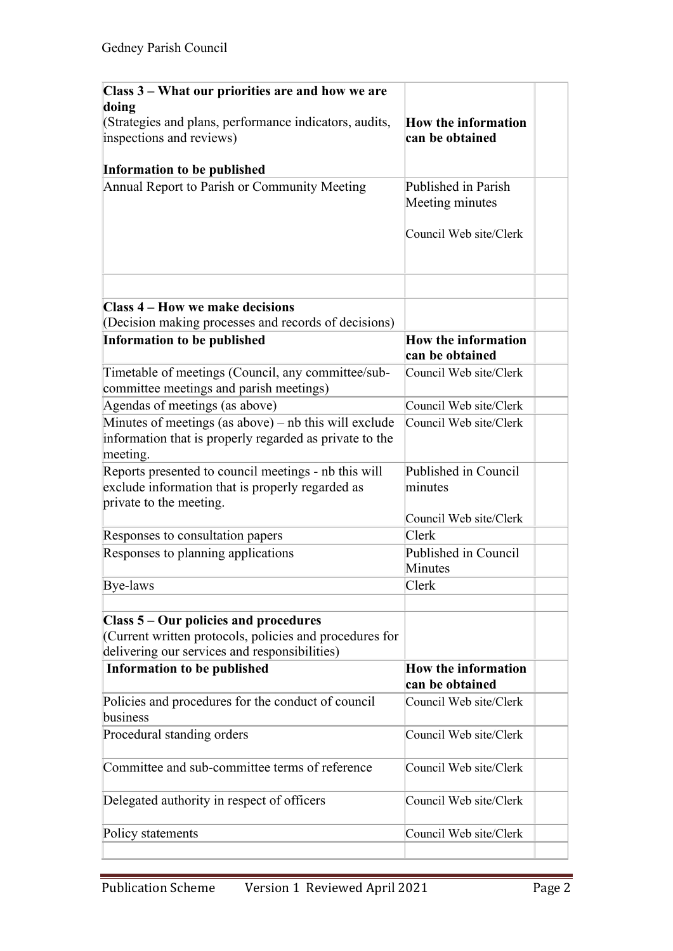| Class 3 - What our priorities are and how we are                                                                                                  |                                               |  |
|---------------------------------------------------------------------------------------------------------------------------------------------------|-----------------------------------------------|--|
| doing                                                                                                                                             |                                               |  |
| (Strategies and plans, performance indicators, audits,                                                                                            | <b>How the information</b>                    |  |
| inspections and reviews)                                                                                                                          | can be obtained                               |  |
| Information to be published                                                                                                                       |                                               |  |
| Annual Report to Parish or Community Meeting                                                                                                      | Published in Parish                           |  |
|                                                                                                                                                   | Meeting minutes                               |  |
|                                                                                                                                                   | Council Web site/Clerk                        |  |
|                                                                                                                                                   |                                               |  |
| Class 4 – How we make decisions                                                                                                                   |                                               |  |
| (Decision making processes and records of decisions)                                                                                              |                                               |  |
| <b>Information to be published</b>                                                                                                                | <b>How the information</b><br>can be obtained |  |
| Timetable of meetings (Council, any committee/sub-<br>committee meetings and parish meetings)                                                     | Council Web site/Clerk                        |  |
| Agendas of meetings (as above)                                                                                                                    | Council Web site/Clerk                        |  |
| Minutes of meetings (as above) – nb this will exclude<br>information that is properly regarded as private to the<br>meeting.                      | Council Web site/Clerk                        |  |
| Reports presented to council meetings - nb this will<br>exclude information that is properly regarded as<br>private to the meeting.               | Published in Council<br>minutes               |  |
|                                                                                                                                                   | Council Web site/Clerk                        |  |
| Responses to consultation papers                                                                                                                  | Clerk                                         |  |
| Responses to planning applications                                                                                                                | Published in Council<br><b>Minutes</b>        |  |
| Bye-laws                                                                                                                                          | Clerk                                         |  |
|                                                                                                                                                   |                                               |  |
| Class 5 – Our policies and procedures<br>(Current written protocols, policies and procedures for<br>delivering our services and responsibilities) |                                               |  |
| Information to be published                                                                                                                       | <b>How the information</b><br>can be obtained |  |
| Policies and procedures for the conduct of council                                                                                                | Council Web site/Clerk                        |  |
| business                                                                                                                                          |                                               |  |
| Procedural standing orders                                                                                                                        | Council Web site/Clerk                        |  |
| Committee and sub-committee terms of reference                                                                                                    | Council Web site/Clerk                        |  |
| Delegated authority in respect of officers                                                                                                        | Council Web site/Clerk                        |  |
| Policy statements                                                                                                                                 | Council Web site/Clerk                        |  |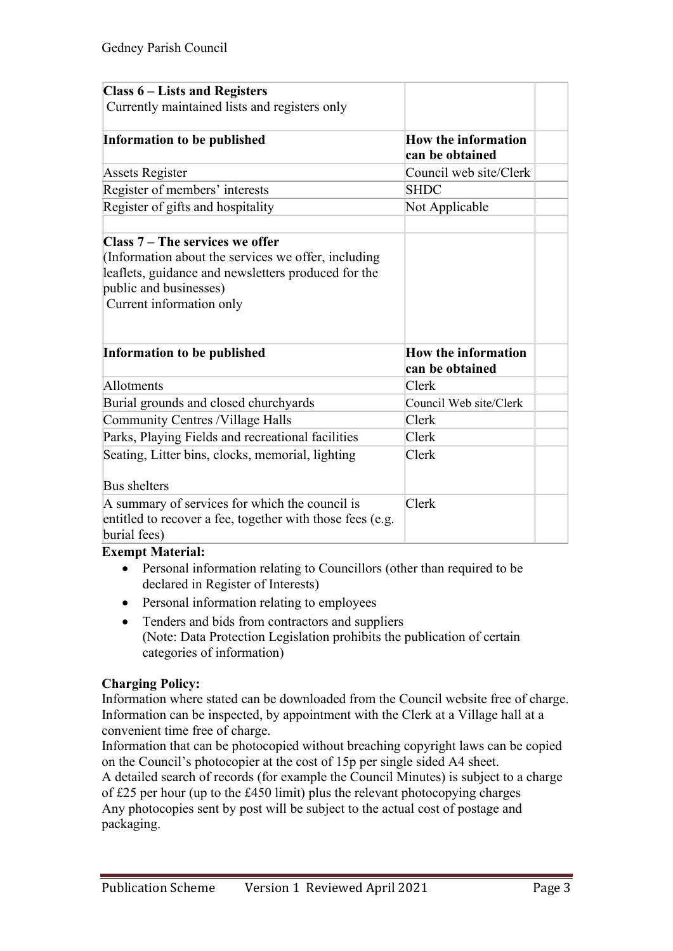| <b>Class 6 – Lists and Registers</b>                      |                            |  |
|-----------------------------------------------------------|----------------------------|--|
| Currently maintained lists and registers only             |                            |  |
|                                                           |                            |  |
| Information to be published                               | <b>How the information</b> |  |
|                                                           | can be obtained            |  |
| <b>Assets Register</b>                                    | Council web site/Clerk     |  |
| Register of members' interests                            | <b>SHDC</b>                |  |
| Register of gifts and hospitality                         | Not Applicable             |  |
|                                                           |                            |  |
| Class $7 -$ The services we offer                         |                            |  |
| (Information about the services we offer, including       |                            |  |
| leaflets, guidance and newsletters produced for the       |                            |  |
| public and businesses)                                    |                            |  |
| Current information only                                  |                            |  |
|                                                           |                            |  |
|                                                           |                            |  |
| Information to be published                               | <b>How the information</b> |  |
|                                                           | can be obtained            |  |
| Allotments                                                | Clerk                      |  |
| Burial grounds and closed churchyards                     | Council Web site/Clerk     |  |
| Community Centres /Village Halls                          | Clerk                      |  |
| Parks, Playing Fields and recreational facilities         | Clerk                      |  |
| Seating, Litter bins, clocks, memorial, lighting          | Clerk                      |  |
|                                                           |                            |  |
| Bus shelters                                              |                            |  |
| A summary of services for which the council is            | Clerk                      |  |
| entitled to recover a fee, together with those fees (e.g. |                            |  |
| burial fees)                                              |                            |  |

#### **Exempt Material:**

- Personal information relating to Councillors (other than required to be declared in Register of Interests)
- Personal information relating to employees
- Tenders and bids from contractors and suppliers (Note: Data Protection Legislation prohibits the publication of certain categories of information)

### **Charging Policy:**

Information where stated can be downloaded from the Council website free of charge. Information can be inspected, by appointment with the Clerk at a Village hall at a convenient time free of charge.

Information that can be photocopied without breaching copyright laws can be copied on the Council's photocopier at the cost of 15p per single sided A4 sheet.

A detailed search of records (for example the Council Minutes) is subject to a charge of £25 per hour (up to the £450 limit) plus the relevant photocopying charges Any photocopies sent by post will be subject to the actual cost of postage and packaging.